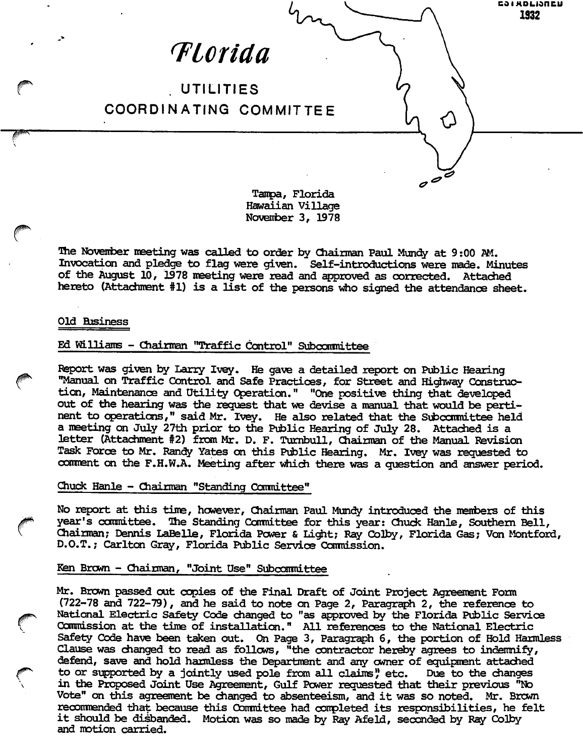

Hawaiian Village November 3, 1978

The November meeting was called to order by Chairman Paul Mundy at 9:00 AM. Invocation and pledge to flag were given. Self-introductions were made. Minutes of the August 10, 1978 meeting were read and approved as corrected. Attached hereto (Attachment #1) is a list of the persons who signed the attendance sheet.

## Old Business

## Ed Williams - Chairman "Traffic Control" Subccarmittee

Report was given by Larry Ivey. He gave a detailed report on Pwhlic Hearing "Manual on Traffic Control and Safe Practices, for Street and Highway Construction, Maintenance and Utility Operation." "One positive thing that developed out of the hearing was the request that we devise a manual that would be perti nent to operations," said Mr. Ivey. He also related that the Subcommittee held a meeting on July 27th prior to the Public Hearing of July 28. Attached is a letter (Attachment #2) from Mr. D. F. Turnbull, Chairman of the Manual Revision Task Force to Mr. Randy Yates on this Public Hearing. Mr. Ivey was requested to comment on the F.H.W.A. Meeting after which there was a question and answer period.

Chuck Hanle - Chairman "Standing Conmittee"

No report at this time, however, Chairman Paul Mundy introduced the members of this year's committee. The Standing Committee for this year: Chuck Hanle, Southern Bell, Chairman; Dennis LaBelle, Florida Power & Li^t; Ray Colby, Florida Gas; Von Montford, D.O.T.; Carlton Grey, Florida Public Service Connlssion.

## Ken Brown - Chairman, "Joint Use" Subcommittee

Mr. Brcwn passed out copies of the Final Draft of Joint Project Agreement Form (722-78 and 722-79), and he said to note on Page 2, Paragraph 2, the reference to National Electric Safety Code changed ta "as approved by the Florida Public Service Commission at the time of installation." All references ta the National Electric Safety Code have been taken out. On Page 3, Paragraph 6, the portion of Hold Harmless Clause was changed to read as follows, "the contractor hereby agrees to indemnify, defend, save and hold harmless the Department and any owner of equipment attached to or supported by a jointly used pole from all claims', etc. Due to the changes in the Proposed Joint Use Agreement, Gulf Power requestaed that their previous "No Vote" on this agreement be changed to absenteeism, and it was so noted. Mr. Brown recommended that because this Committee had completed its responsibilities, he felt it should be disbanded. Motion was so made by Ray Afeld, seconded by Ray Colby and motion carried.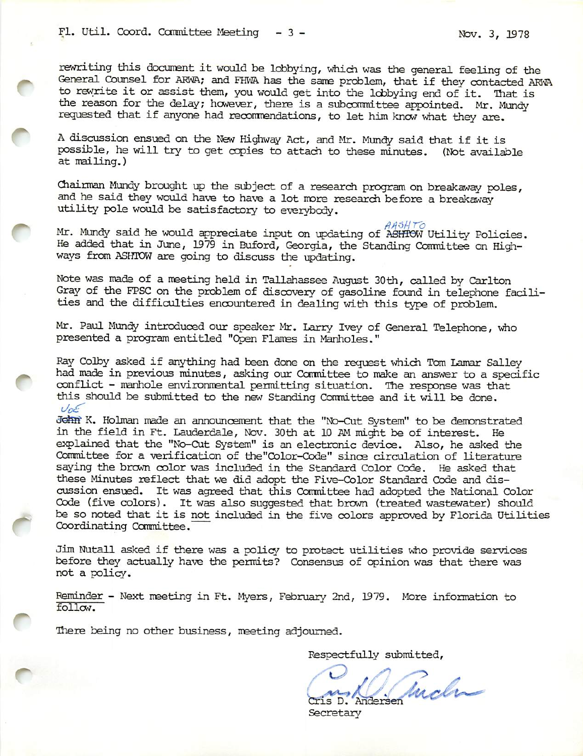rewriting this document it would be lobbying, which was the general feeling of the General Counsel for ARWA; and FHWA has the same problem, that if they contacted ARWA to rewrite it or assist them, you would get into the lobbying end of it. That is the reason for the delay; however, there is a subcommittee appointed. Mr. Mundy requested that if anyone had recommendations, to let him know what they are.

A discussion ensued on the New Highway Act, and Mr. Mundy said that if it is possible, he will try to get copies to attach to these minutes. (Not available at mailing.)

Chairman Mundy brought up the subject of a research program on breakaway poles, and he said they would have to have a lot more research before a breakaway utility pole would be satisfactory to everybody.

 $\Delta$  Mr. Mundy said he would appreciate input on updating of ASHTOW Utility Policies. He added that in June, 1979 in Buford, Georgia, the Standing Committee on Highways from ASHTOW are going to discuss the updating.

Note was made of a meeting held in Tallahassee August 30th, called by Carlton Gray of the FPSC on the problem of discovery of gasoline found in telephone facilities and the difficulties encountered in dealing with this type of problem.

Mr. Paul Mundy introduced our speaker Mr. Larry Ivey of General Telephone, who presented a program entitled "Cpen Flames in Manholes."

Ray Colby asked if anything had been done on the request which Tom Lamar Salley<br>had made in previous minutes, asking our Committee to make an answer to a specific<br>conflict previous minutes, asking our Committee to make an had made in previous minutes, asking our Committee to make an answer to a specific<br>conflict - manhole environmental permitting situation. The response was that this should be submitted to the new Standing Committee and it will be done.  $V_{0}$ 

John K. Holman made an announcement that the "No-Cut System" to be demonstrated in the field in Ft. Lauderdale, Nov. 30th at 10 AM might be of interest. Ife explained that the "No-Cut System" is an electronic device. Also, he asked the Committee for a verification of the"Color-Code" since circulation of literature saying the brown color was included in the Standard Color Code. He asked that these Minutes reflect that we did adept the Five-Color Standard Code and dis cussion ensued. It was agreed that this Committee had adopted the National Color Code (five colors). It was also suggested that brown (treated wastewater) should be so noted that it is not included in the five colors approved by Florida Utilities Coordinating Conmittee.

Jim Nutall asked if there was a policy to protect utilities who provide services before they actually have the permits? Consensus of opinion was that there was not a policy.

Reminder - Next meeting in Ft. Myers, February 2nd, 1979. More information to follow.

There being no other business, meeting adjourned.

Respectfully submitted,

es Ruch

Secretary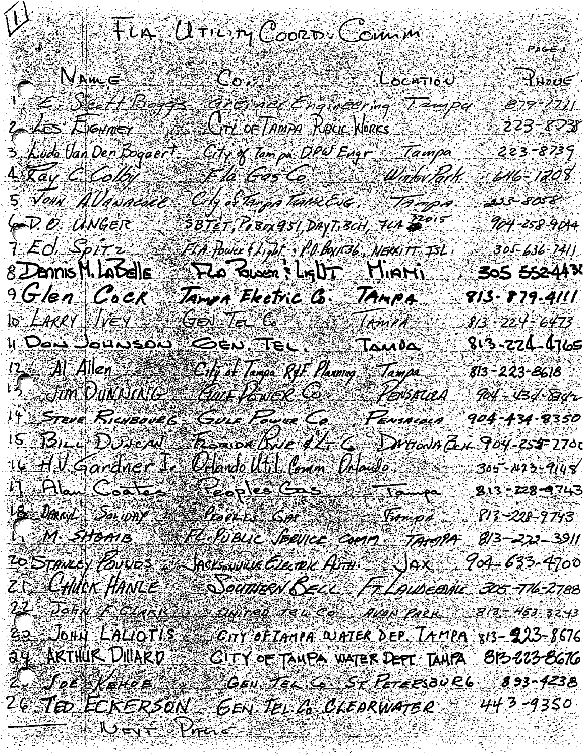## $T$ LA  $U$ TICITY COORD COMM

 $\overline{\psi}$ 

NAWE RHOUE .<br>E-DE11 BIJS - ANS NE 1 A. 2019 - T-400  $879 - 271$  $2$   $45$  Hermer 223-8238 LLATZ OF TAMPA REGIC NORCS 223-8739

646-1208

904-258-9044

305-636-7411

City & Tampa DPW Engr Tampa 3 Ludo Van Den Bogaert Life Cas Computer Wink and  $4\pi a$ y C Colby. An Starpa take Este (Tanpa 5 John Allanacue **sis 8058** SBTET, POBOLASI DAYT.BCH, 7LA 2015 G.D. O. UNGER T. Ed. Spirz FLA Power (Light : P.O. Box136; NERXITT ISL FLO GUER SLAUT HIAM  $8$  $D$ annis M. La $S$ elle 305 552-4430

9 Glen Cock Jampa Electric G. JAMPA 813–879–4111 GO TE C TANIA  $10$  *LARRY*  $1/eV$  $8/3 - 224 - 6473$ 11 Den Jourson 813-224-4765 City of Tanga RfF. Planing Tampa<br>Guer Power Co. Perisrica A  $12$   $Al$   $Al$   $Al$  $813 - 223 - 8618$ 3. Jun DuMNING  $904 - 434 - 634$ 14 STEVE RICHBOURG Guis Four Co Pensacaca 904-434-8350 Rogor One & L. C. Dirtion of Boy-255-2700  $15$   $131 - 10$ UNCAN

 $Q$ clando Utit Comm  $Q$ daido 305-1423-9148 16 A.U. Gardner Je 19 DAN SOLON POR COS TO CAR 813-228-9743 1. 813-228-9743 813–272–3911 20 STANLEY BUNDS A SACKSWING CLEARL ATHER JAX 904=633-4700 Z CHUCHANLE Souther BELL FT LAUDEDAL 305-776-2788

22 John E. Charles Source Tel Co Aven Pack 813 = 453 3243 EQ JOHY LALIOTIS ENY OFTANIA WATER DEP TAMPA 813-923-8676 ay AKTHUR DIIAKD SE GITY OF TANPA WATER DEPT. TANPA 813-8676 2. JOE KEHOE GEN. TEL & ST PETERBURG 893-4238 20 TED ECKERSON GEN TEL 20 CLEARWATER 4443-9350 THE BUCK WARRENT